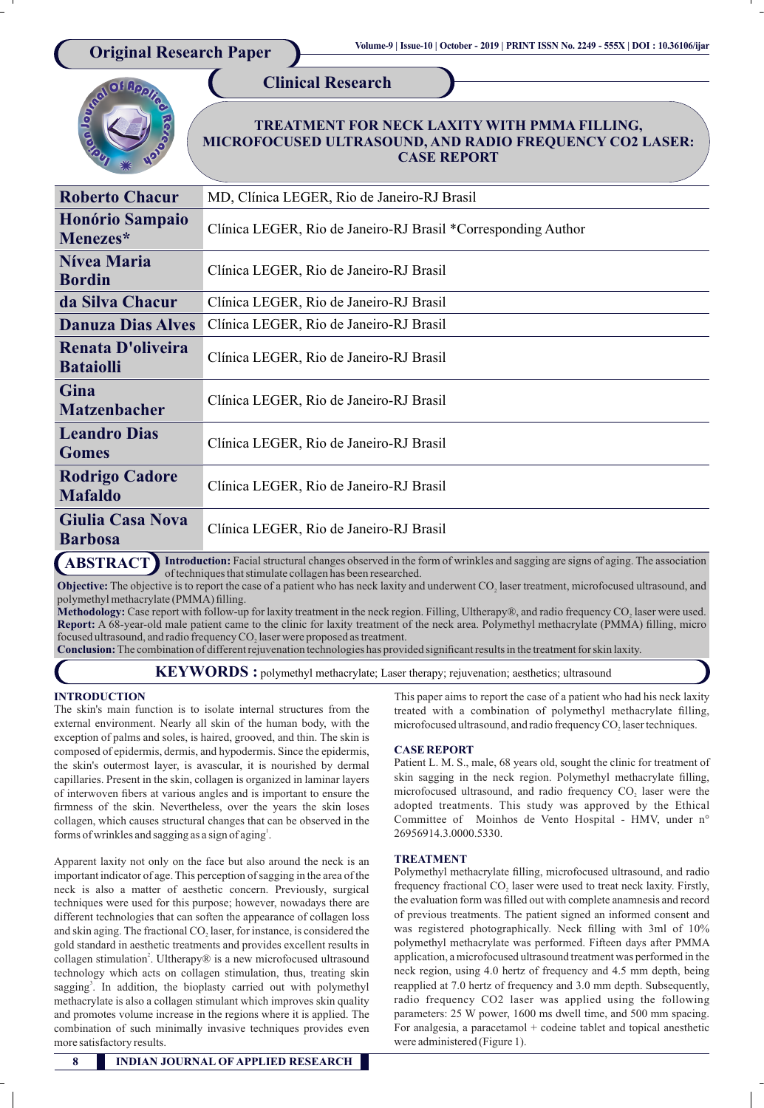# **Clinical Research**

# **TREATMENT FOR NECK LAXITY WITH PMMA FILLING, MICROFOCUSED ULTRASOUND, AND RADIO FREQUENCY CO2 LASER: CASE REPORT**

| <b>Roberto Chacur</b>                                                                                                                    | MD, Clínica LEGER, Rio de Janeiro-RJ Brasil                   |
|------------------------------------------------------------------------------------------------------------------------------------------|---------------------------------------------------------------|
| <b>Honório Sampaio</b><br>Menezes*                                                                                                       | Clínica LEGER, Rio de Janeiro-RJ Brasil *Corresponding Author |
| Nívea Maria<br><b>Bordin</b>                                                                                                             | Clínica LEGER, Rio de Janeiro-RJ Brasil                       |
| da Silva Chacur                                                                                                                          | Clínica LEGER, Rio de Janeiro-RJ Brasil                       |
| <b>Danuza Dias Alves</b>                                                                                                                 | Clínica LEGER, Rio de Janeiro-RJ Brasil                       |
| Renata D'oliveira<br><b>Bataiolli</b>                                                                                                    | Clínica LEGER, Rio de Janeiro-RJ Brasil                       |
| Gina<br><b>Matzenbacher</b>                                                                                                              | Clínica LEGER, Rio de Janeiro-RJ Brasil                       |
| <b>Leandro Dias</b><br><b>Gomes</b>                                                                                                      | Clínica LEGER, Rio de Janeiro-RJ Brasil                       |
| <b>Rodrigo Cadore</b><br><b>Mafaldo</b>                                                                                                  | Clínica LEGER, Rio de Janeiro-RJ Brasil                       |
| Giulia Casa Nova<br><b>Barbosa</b>                                                                                                       | Clínica LEGER, Rio de Janeiro-RJ Brasil                       |
| <b>ARSTRACT</b> Introduction: Facial structural changes observed in the form of wrinkles and sagging are signs of aging. The association |                                                               |

**Introduction:** Facial structural changes observed in the form of wrinkles and sagging are signs of aging. The association of techniques that stimulate collagen has been researched. **ABSTRACT**

Objective: The objective is to report the case of a patient who has neck laxity and underwent CO<sub>2</sub> laser treatment, microfocused ultrasound, and polymethyl methacrylate (PMMA) filling.

**Methodology:** Case report with follow-up for laxity treatment in the neck region. Filling, Ultherapy®, and radio frequency CO, laser were used. **Report:** A 68-year-old male patient came to the clinic for laxity treatment of the neck area. Polymethyl methacrylate (PMMA) filling, micro focused ultrasound, and radio frequency CO<sub>2</sub> laser were proposed as treatment.

**Conclusion:**The combination of different rejuvenation technologies has provided significant results in the treatment for skin laxity.

**KEYWORDS :** polymethyl methacrylate; Laser therapy; rejuvenation; aesthetics; ultrasound

## **INTRODUCTION**

The skin's main function is to isolate internal structures from the external environment. Nearly all skin of the human body, with the exception of palms and soles, is haired, grooved, and thin. The skin is composed of epidermis, dermis, and hypodermis. Since the epidermis, the skin's outermost layer, is avascular, it is nourished by dermal capillaries. Present in the skin, collagen is organized in laminar layers of interwoven fibers at various angles and is important to ensure the firmness of the skin. Nevertheless, over the years the skin loses collagen, which causes structural changes that can be observed in the forms of wrinkles and sagging as a sign of aging<sup>1</sup>.

Apparent laxity not only on the face but also around the neck is an important indicator of age. This perception of sagging in the area of the neck is also a matter of aesthetic concern. Previously, surgical techniques were used for this purpose; however, nowadays there are different technologies that can soften the appearance of collagen loss and skin aging. The fractional  $CO<sub>2</sub>$  laser, for instance, is considered the gold standard in aesthetic treatments and provides excellent results in collagen stimulation<sup>2</sup>. Ultherapy® is a new microfocused ultrasound technology which acts on collagen stimulation, thus, treating skin sagging<sup>3</sup>. In addition, the bioplasty carried out with polymethyl methacrylate is also a collagen stimulant which improves skin quality and promotes volume increase in the regions where it is applied. The combination of such minimally invasive techniques provides even more satisfactory results.

This paper aims to report the case of a patient who had his neck laxity treated with a combination of polymethyl methacrylate filling, microfocused ultrasound, and radio frequency CO<sub>2</sub> laser techniques.

## **CASE REPORT**

Patient L. M. S., male, 68 years old, sought the clinic for treatment of skin sagging in the neck region. Polymethyl methacrylate filling, microfocused ultrasound, and radio frequency CO<sub>2</sub> laser were the adopted treatments. This study was approved by the Ethical Committee of Moinhos de Vento Hospital - HMV, under n° 26956914.3.0000.5330.

## **TREATMENT**

Polymethyl methacrylate filling, microfocused ultrasound, and radio frequency fractional CO<sub>2</sub> laser were used to treat neck laxity. Firstly, the evaluation form was filled out with complete anamnesis and record of previous treatments. The patient signed an informed consent and was registered photographically. Neck filling with 3ml of 10% polymethyl methacrylate was performed. Fifteen days after PMMA application, a microfocused ultrasound treatment was performed in the neck region, using 4.0 hertz of frequency and 4.5 mm depth, being reapplied at 7.0 hertz of frequency and 3.0 mm depth. Subsequently, radio frequency CO2 laser was applied using the following parameters: 25 W power, 1600 ms dwell time, and 500 mm spacing. For analgesia, a paracetamol + codeine tablet and topical anesthetic were administered (Figure 1).